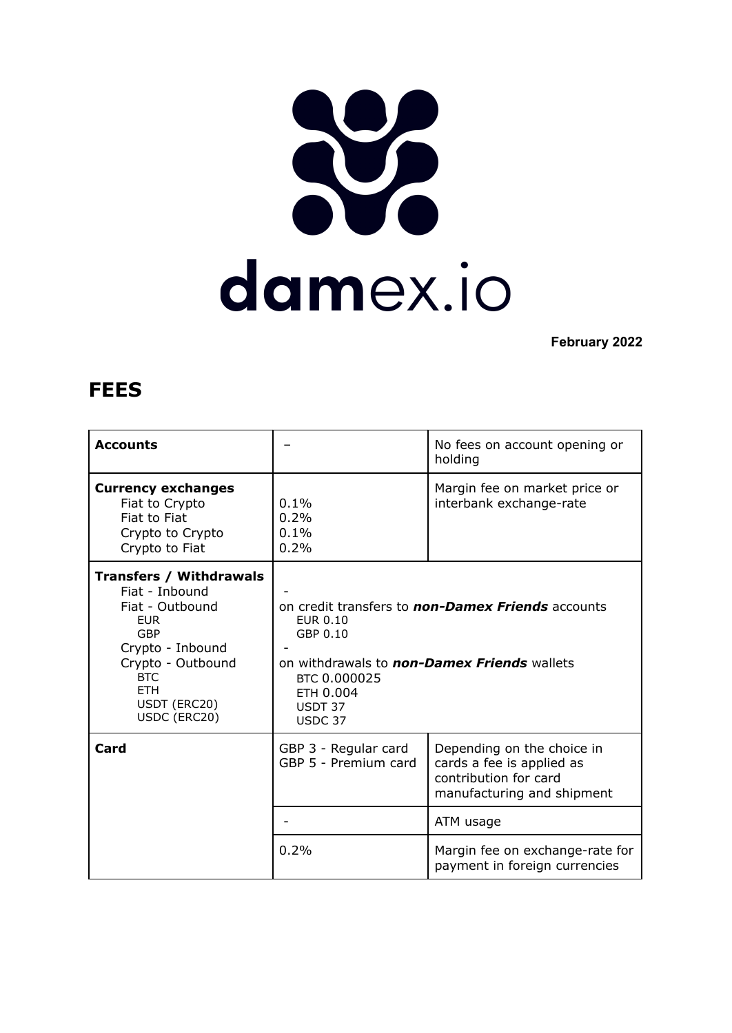## damex.io

**February 2022**

## **FEES**

| <b>Accounts</b>                                                                                                                                                                               |                                                                                                                                                                                    | No fees on account opening or<br>holding                                                                       |
|-----------------------------------------------------------------------------------------------------------------------------------------------------------------------------------------------|------------------------------------------------------------------------------------------------------------------------------------------------------------------------------------|----------------------------------------------------------------------------------------------------------------|
| <b>Currency exchanges</b><br>Fiat to Crypto<br>Fiat to Fiat<br>Crypto to Crypto<br>Crypto to Fiat                                                                                             | 0.1%<br>0.2%<br>0.1%<br>0.2%                                                                                                                                                       | Margin fee on market price or<br>interbank exchange-rate                                                       |
| <b>Transfers / Withdrawals</b><br>Fiat - Inbound<br>Fiat - Outbound<br><b>EUR</b><br>GBP<br>Crypto - Inbound<br>Crypto - Outbound<br><b>BTC</b><br><b>ETH</b><br>USDT (ERC20)<br>USDC (ERC20) | on credit transfers to <b>non-Damex Friends</b> accounts<br>EUR 0.10<br>GBP 0.10<br>on withdrawals to non-Damex Friends wallets<br>BTC 0.000025<br>ETH 0.004<br>USDT 37<br>USDC 37 |                                                                                                                |
| Card                                                                                                                                                                                          | GBP 3 - Regular card<br>GBP 5 - Premium card                                                                                                                                       | Depending on the choice in<br>cards a fee is applied as<br>contribution for card<br>manufacturing and shipment |
|                                                                                                                                                                                               |                                                                                                                                                                                    | ATM usage                                                                                                      |
|                                                                                                                                                                                               | 0.2%                                                                                                                                                                               | Margin fee on exchange-rate for<br>payment in foreign currencies                                               |